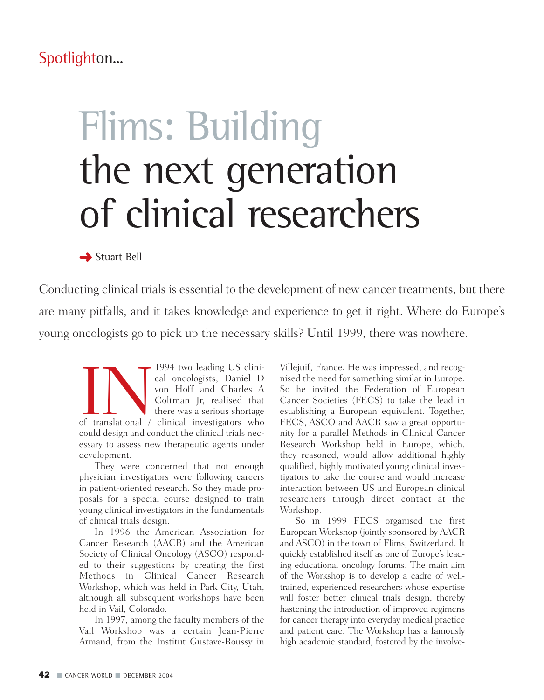# Flims: Building the next generation of clinical researchers

**→** Stuart Bell

Conducting clinical trials is essential to the development of new cancer treatments, but there are many pitfalls, and it takes knowledge and experience to get it right. Where do Europe's young oncologists go to pick up the necessary skills? Until 1999, there was nowhere.

**INNERGEN SET AND AND SET AND AN INCREDENTA CORRESPONDED AND ALL STATES AND ALL STATES OF THE ANGLE OF THE ANGLE OF THE ANGLE OF THE ANGLE OF THE ANGLE OF THE ANGLE OF THE ANGLE OF THE ANGLE OF THE ANGLE OF THE ANGLE OF TH** cal oncologists, Daniel D von Hoff and Charles A Coltman Jr, realised that there was a serious shortage of translational / clinical investigators who could design and conduct the clinical trials necessary to assess new therapeutic agents under development.

They were concerned that not enough physician investigators were following careers in patient-oriented research. So they made proposals for a special course designed to train young clinical investigators in the fundamentals of clinical trials design.

In 1996 the American Association for Cancer Research (AACR) and the American Society of Clinical Oncology (ASCO) responded to their suggestions by creating the first Methods in Clinical Cancer Research Workshop, which was held in Park City, Utah, although all subsequent workshops have been held in Vail, Colorado.

In 1997, among the faculty members of the Vail Workshop was a certain Jean-Pierre Armand, from the Institut Gustave-Roussy in Villejuif, France. He was impressed, and recognised the need for something similar in Europe. So he invited the Federation of European Cancer Societies (FECS) to take the lead in establishing a European equivalent. Together, FECS, ASCO and AACR saw a great opportunity for a parallel Methods in Clinical Cancer Research Workshop held in Europe, which, they reasoned, would allow additional highly qualified, highly motivated young clinical investigators to take the course and would increase interaction between US and European clinical researchers through direct contact at the Workshop.

So in 1999 FECS organised the first European Workshop (jointly sponsored by AACR and ASCO) in the town of Flims, Switzerland. It quickly established itself as one of Europe's leading educational oncology forums. The main aim of the Workshop is to develop a cadre of welltrained, experienced researchers whose expertise will foster better clinical trials design, thereby hastening the introduction of improved regimens for cancer therapy into everyday medical practice and patient care. The Workshop has a famously high academic standard, fostered by the involve-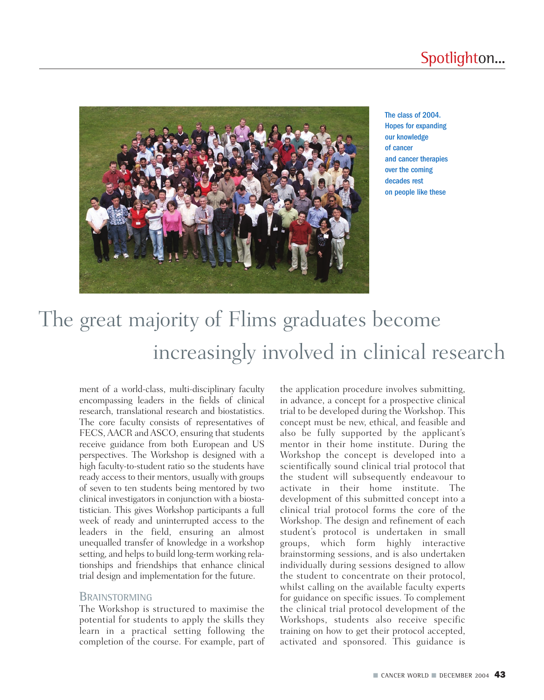

The class of 2004. Hopes for expanding our knowledge of cancer and cancer therapies over the coming decades rest on people like these

# The great majority of Flims graduates become increasingly involved in clinical research

ment of a world-class, multi-disciplinary faculty encompassing leaders in the fields of clinical research, translational research and biostatistics. The core faculty consists of representatives of FECS, AACR and ASCO, ensuring that students receive guidance from both European and US perspectives. The Workshop is designed with a high faculty-to-student ratio so the students have ready access to their mentors, usually with groups of seven to ten students being mentored by two clinical investigators in conjunction with a biostatistician. This gives Workshop participants a full week of ready and uninterrupted access to the leaders in the field, ensuring an almost unequalled transfer of knowledge in a workshop setting, and helps to build long-term working relationships and friendships that enhance clinical trial design and implementation for the future.

## **BRAINSTORMING**

The Workshop is structured to maximise the potential for students to apply the skills they learn in a practical setting following the completion of the course. For example, part of the application procedure involves submitting, in advance, a concept for a prospective clinical trial to be developed during the Workshop. This concept must be new, ethical, and feasible and also be fully supported by the applicant's mentor in their home institute. During the Workshop the concept is developed into a scientifically sound clinical trial protocol that the student will subsequently endeavour to activate in their home institute. The development of this submitted concept into a clinical trial protocol forms the core of the Workshop. The design and refinement of each student's protocol is undertaken in small groups, which form highly interactive brainstorming sessions, and is also undertaken individually during sessions designed to allow the student to concentrate on their protocol, whilst calling on the available faculty experts for guidance on specific issues. To complement the clinical trial protocol development of the Workshops, students also receive specific training on how to get their protocol accepted, activated and sponsored. This guidance is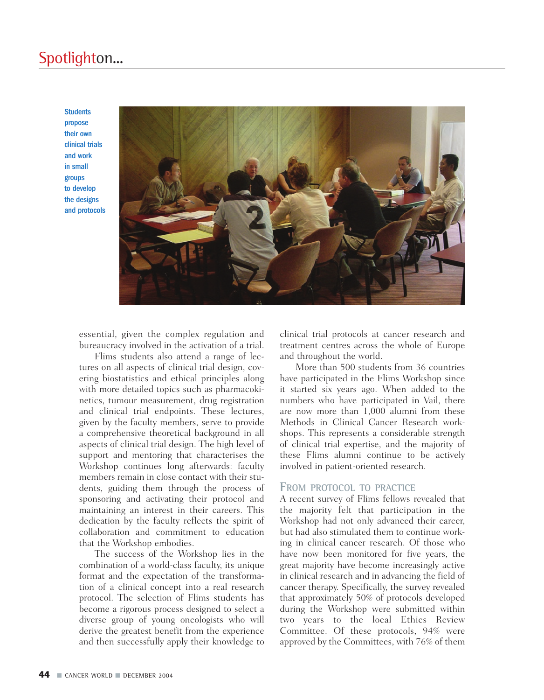## Spotlighton...

**Students** propose their own clinical trials and work in small groups to develop the designs and protocols



essential, given the complex regulation and bureaucracy involved in the activation of a trial.

Flims students also attend a range of lectures on all aspects of clinical trial design, covering biostatistics and ethical principles along with more detailed topics such as pharmacokinetics, tumour measurement, drug registration and clinical trial endpoints. These lectures, given by the faculty members, serve to provide a comprehensive theoretical background in all aspects of clinical trial design. The high level of support and mentoring that characterises the Workshop continues long afterwards: faculty members remain in close contact with their students, guiding them through the process of sponsoring and activating their protocol and maintaining an interest in their careers. This dedication by the faculty reflects the spirit of collaboration and commitment to education that the Workshop embodies.

The success of the Workshop lies in the combination of a world-class faculty, its unique format and the expectation of the transformation of a clinical concept into a real research protocol. The selection of Flims students has become a rigorous process designed to select a diverse group of young oncologists who will derive the greatest benefit from the experience and then successfully apply their knowledge to clinical trial protocols at cancer research and treatment centres across the whole of Europe and throughout the world.

More than 500 students from 36 countries have participated in the Flims Workshop since it started six years ago. When added to the numbers who have participated in Vail, there are now more than 1,000 alumni from these Methods in Clinical Cancer Research workshops. This represents a considerable strength of clinical trial expertise, and the majority of these Flims alumni continue to be actively involved in patient-oriented research.

#### **FROM PROTOCOL TO PRACTICE**

A recent survey of Flims fellows revealed that the majority felt that participation in the Workshop had not only advanced their career, but had also stimulated them to continue working in clinical cancer research. Of those who have now been monitored for five years, the great majority have become increasingly active in clinical research and in advancing the field of cancer therapy. Specifically, the survey revealed that approximately 50% of protocols developed during the Workshop were submitted within two years to the local Ethics Review Committee. Of these protocols, 94% were approved by the Committees, with 76% of them